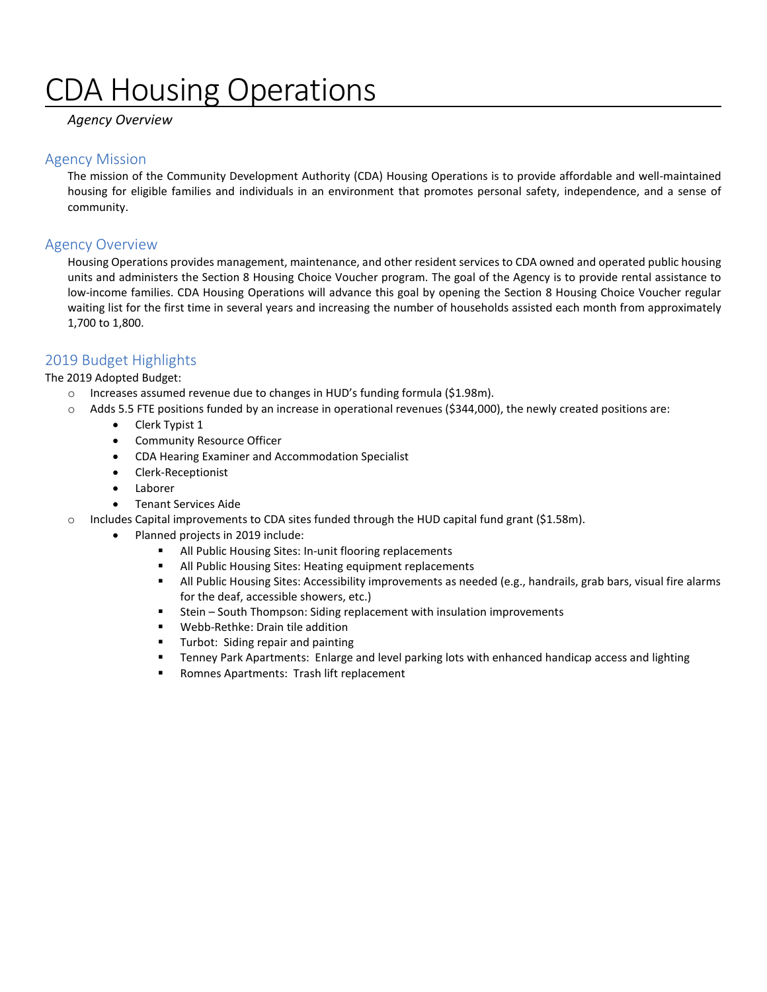# DA Housing Operations

### *Agency Overview*

### Agency Mission

The mission of the Community Development Authority (CDA) Housing Operations is to provide affordable and well-maintained housing for eligible families and individuals in an environment that promotes personal safety, independence, and a sense of community.

### Agency Overview

Housing Operations provides management, maintenance, and other resident services to CDA owned and operated public housing units and administers the Section 8 Housing Choice Voucher program. The goal of the Agency is to provide rental assistance to low-income families. CDA Housing Operations will advance this goal by opening the Section 8 Housing Choice Voucher regular waiting list for the first time in several years and increasing the number of households assisted each month from approximately 1,700 to 1,800.

### 2019 Budget Highlights

The 2019 Adopted Budget:

- o Increases assumed revenue due to changes in HUD's funding formula (\$1.98m).
- o Adds 5.5 FTE positions funded by an increase in operational revenues (\$344,000), the newly created positions are:
	- Clerk Typist 1
	- Community Resource Officer
	- CDA Hearing Examiner and Accommodation Specialist
	- Clerk-Receptionist
	- Laborer
	- Tenant Services Aide
- $\circ$  Includes Capital improvements to CDA sites funded through the HUD capital fund grant (\$1.58m).
	- Planned projects in 2019 include:
		- All Public Housing Sites: In-unit flooring replacements
		- All Public Housing Sites: Heating equipment replacements
		- All Public Housing Sites: Accessibility improvements as needed (e.g., handrails, grab bars, visual fire alarms for the deaf, accessible showers, etc.)
		- Stein South Thompson: Siding replacement with insulation improvements
		- Webb-Rethke: Drain tile addition
		- **Turbot: Siding repair and painting**
		- **Tenney Park Apartments: Enlarge and level parking lots with enhanced handicap access and lighting**
		- **Romnes Apartments: Trash lift replacement**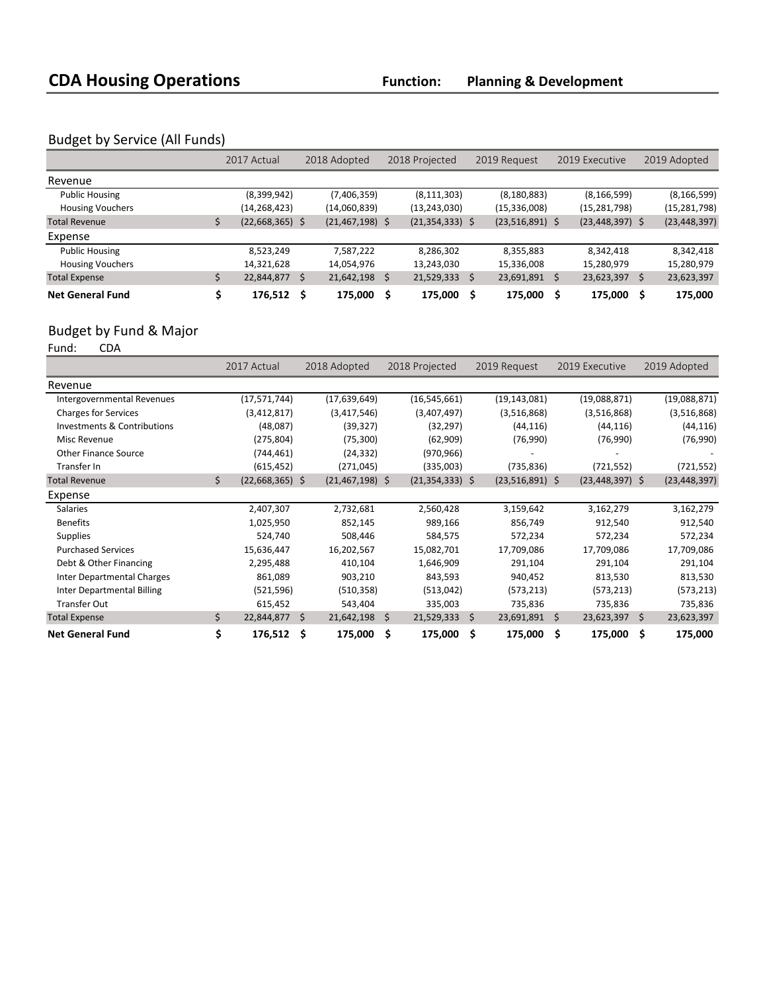### Budget by Service (All Funds)

|                         | 2017 Actual       | 2018 Adopted |                   | 2018 Projected |                     | 2019 Request |                   | 2019 Executive |                     |     | 2019 Adopted   |
|-------------------------|-------------------|--------------|-------------------|----------------|---------------------|--------------|-------------------|----------------|---------------------|-----|----------------|
| Revenue                 |                   |              |                   |                |                     |              |                   |                |                     |     |                |
| <b>Public Housing</b>   | (8,399,942)       |              | (7,406,359)       |                | (8, 111, 303)       |              | (8, 180, 883)     |                | (8, 166, 599)       |     | (8, 166, 599)  |
| <b>Housing Vouchers</b> | (14,268,423)      |              | (14,060,839)      |                | (13, 243, 030)      |              | (15,336,008)      |                | (15,281,798)        |     | (15, 281, 798) |
| <b>Total Revenue</b>    | $(22,668,365)$ \$ |              | $(21,467,198)$ \$ |                | $(21, 354, 333)$ \$ |              | $(23,516,891)$ \$ |                | $(23, 448, 397)$ \$ |     | (23, 448, 397) |
| Expense                 |                   |              |                   |                |                     |              |                   |                |                     |     |                |
| <b>Public Housing</b>   | 8,523,249         |              | 7,587,222         |                | 8,286,302           |              | 8,355,883         |                | 8,342,418           |     | 8,342,418      |
| <b>Housing Vouchers</b> | 14,321,628        |              | 14,054,976        |                | 13,243,030          |              | 15,336,008        |                | 15,280,979          |     | 15,280,979     |
| <b>Total Expense</b>    | 22,844,877        | -\$          | 21,642,198        | S.             | 21,529,333          | Ś            | 23,691,891 \$     |                | 23,623,397          | \$  | 23,623,397     |
| <b>Net General Fund</b> | 176,512           |              | 175,000           | Ŝ              | 175,000             |              | 175,000           |                | 175,000             | \$. | 175,000        |

## Budget by Fund & Major<br>Fund: CDA

Fund:

|                                   | 2017 Actual             |     | 2018 Adopted<br>2018 Projected<br>2019 Request<br>2019 Executive |     |                     | 2019 Adopted      |    |                     |     |                |
|-----------------------------------|-------------------------|-----|------------------------------------------------------------------|-----|---------------------|-------------------|----|---------------------|-----|----------------|
| Revenue                           |                         |     |                                                                  |     |                     |                   |    |                     |     |                |
| Intergovernmental Revenues        | (17, 571, 744)          |     | (17,639,649)                                                     |     | (16, 545, 661)      | (19, 143, 081)    |    | (19,088,871)        |     | (19,088,871)   |
| <b>Charges for Services</b>       | (3,412,817)             |     | (3,417,546)                                                      |     | (3,407,497)         | (3,516,868)       |    | (3,516,868)         |     | (3,516,868)    |
| Investments & Contributions       | (48,087)                |     | (39, 327)                                                        |     | (32, 297)           | (44, 116)         |    | (44, 116)           |     | (44, 116)      |
| Misc Revenue                      | (275, 804)              |     | (75, 300)                                                        |     | (62,909)            | (76,990)          |    | (76,990)            |     | (76,990)       |
| <b>Other Finance Source</b>       | (744, 461)              |     | (24, 332)                                                        |     | (970, 966)          |                   |    |                     |     |                |
| Transfer In                       | (615, 452)              |     | (271, 045)                                                       |     | (335,003)           | (735, 836)        |    | (721, 552)          |     | (721, 552)     |
| <b>Total Revenue</b>              | \$<br>$(22,668,365)$ \$ |     | $(21, 467, 198)$ \$                                              |     | $(21, 354, 333)$ \$ | $(23,516,891)$ \$ |    | $(23, 448, 397)$ \$ |     | (23, 448, 397) |
| Expense                           |                         |     |                                                                  |     |                     |                   |    |                     |     |                |
| <b>Salaries</b>                   | 2,407,307               |     | 2,732,681                                                        |     | 2,560,428           | 3,159,642         |    | 3,162,279           |     | 3,162,279      |
| <b>Benefits</b>                   | 1,025,950               |     | 852,145                                                          |     | 989,166             | 856,749           |    | 912,540             |     | 912,540        |
| <b>Supplies</b>                   | 524,740                 |     | 508,446                                                          |     | 584,575             | 572,234           |    | 572,234             |     | 572,234        |
| <b>Purchased Services</b>         | 15,636,447              |     | 16,202,567                                                       |     | 15,082,701          | 17,709,086        |    | 17,709,086          |     | 17,709,086     |
| Debt & Other Financing            | 2,295,488               |     | 410,104                                                          |     | 1,646,909           | 291,104           |    | 291,104             |     | 291,104        |
| <b>Inter Departmental Charges</b> | 861,089                 |     | 903,210                                                          |     | 843,593             | 940,452           |    | 813,530             |     | 813,530        |
| Inter Departmental Billing        | (521, 596)              |     | (510, 358)                                                       |     | (513, 042)          | (573, 213)        |    | (573, 213)          |     | (573, 213)     |
| <b>Transfer Out</b>               | 615,452                 |     | 543,404                                                          |     | 335,003             | 735,836           |    | 735,836             |     | 735,836        |
| <b>Total Expense</b>              | \$<br>22,844,877        | -\$ | 21,642,198                                                       | \$  | 21,529,333          | \$<br>23,691,891  | S. | 23,623,397          | \$  | 23,623,397     |
| <b>Net General Fund</b>           | \$<br>176,512 \$        |     | 175,000                                                          | - Ś | 175,000             | \$<br>175,000 \$  |    | 175,000             | \$. | 175,000        |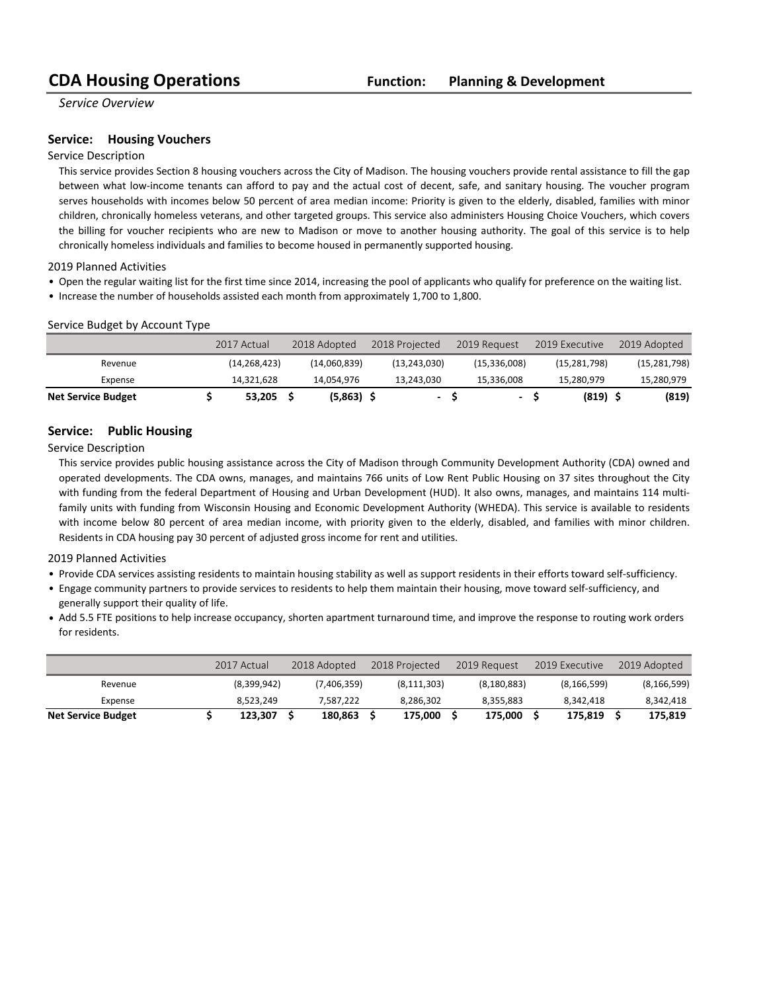*Service Overview*

### **Service: Housing Vouchers**

### Service Description

This service provides Section 8 housing vouchers across the City of Madison. The housing vouchers provide rental assistance to fill the gap between what low-income tenants can afford to pay and the actual cost of decent, safe, and sanitary housing. The voucher program serves households with incomes below 50 percent of area median income: Priority is given to the elderly, disabled, families with minor children, chronically homeless veterans, and other targeted groups. This service also administers Housing Choice Vouchers, which covers the billing for voucher recipients who are new to Madison or move to another housing authority. The goal of this service is to help chronically homeless individuals and families to become housed in permanently supported housing.

2019 Planned Activities

- Open the regular waiting list for the first time since 2014, increasing the pool of applicants who qualify for preference on the waiting list.
- Increase the number of households assisted each month from approximately 1,700 to 1,800.

#### Service Budget by Account Type

|                           | 2017 Actual    | 2018 Adopted | 2018 Projected           | 2019 Request |     | 2019 Executive | 2019 Adopted   |
|---------------------------|----------------|--------------|--------------------------|--------------|-----|----------------|----------------|
| Revenue                   | (14, 268, 423) | (14.060.839) | (13, 243, 030)           | (15,336,008) |     | (15, 281, 798) | (15, 281, 798) |
| Expense                   | 14,321,628     | 14.054.976   | 13.243.030               | 15,336,008   |     | 15.280.979     | 15,280,979     |
| <b>Net Service Budget</b> | 53.205         | $(5,863)$ \$ | $\overline{\phantom{a}}$ |              | - S | (819)          | (819)          |

#### **Service:** Public Housing

Service Description

This service provides public housing assistance across the City of Madison through Community Development Authority (CDA) owned and operated developments. The CDA owns, manages, and maintains 766 units of Low Rent Public Housing on 37 sites throughout the City with funding from the federal Department of Housing and Urban Development (HUD). It also owns, manages, and maintains 114 multifamily units with funding from Wisconsin Housing and Economic Development Authority (WHEDA). This service is available to residents with income below 80 percent of area median income, with priority given to the elderly, disabled, and families with minor children. Residents in CDA housing pay 30 percent of adjusted gross income for rent and utilities.

2019 Planned Activities

- Provide CDA services assisting residents to maintain housing stability as well as support residents in their efforts toward self-sufficiency.
- Engage community partners to provide services to residents to help them maintain their housing, move toward self-sufficiency, and generally support their quality of life.
- Add 5.5 FTE positions to help increase occupancy, shorten apartment turnaround time, and improve the response to routing work orders for residents.

|                           | 2017 Actual | 2018 Adopted |             | 2018 Projected | 2019 Request  | 2019 Executive | 2019 Adopted  |
|---------------------------|-------------|--------------|-------------|----------------|---------------|----------------|---------------|
| Revenue                   | (8,399,942) |              | (7,406,359) | (8, 111, 303)  | (8, 180, 883) | (8, 166, 599)  | (8, 166, 599) |
| Expense                   | 8.523.249   |              | 7.587.222   | 8.286.302      | 8.355.883     | 8.342.418      | 8,342,418     |
| <b>Net Service Budget</b> | 123.307     |              | 180.863     | 175.000        | 175.000       | 175.819        | 175,819       |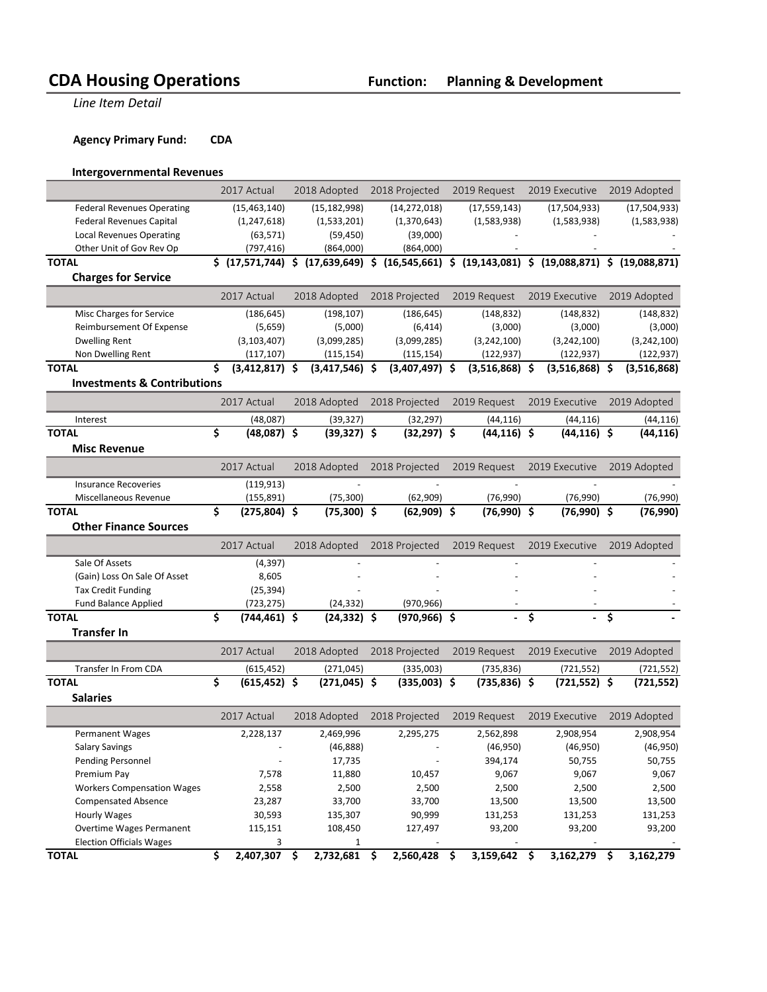**Line Item Detail** 

**Agency Primary Fund: CDA** 

### **Intergovernmental Revenues**

|                                        | 2017 Actual            | 2018 Adopted          | 2018 Projected                                                                                                                                                    | 2019 Request     |   | 2019 Executive   |   | 2019 Adopted  |
|----------------------------------------|------------------------|-----------------------|-------------------------------------------------------------------------------------------------------------------------------------------------------------------|------------------|---|------------------|---|---------------|
| <b>Federal Revenues Operating</b>      | (15, 463, 140)         | (15, 182, 998)        | (14, 272, 018)                                                                                                                                                    | (17, 559, 143)   |   | (17,504,933)     |   | (17,504,933)  |
| <b>Federal Revenues Capital</b>        | (1, 247, 618)          | (1,533,201)           | (1,370,643)                                                                                                                                                       | (1,583,938)      |   | (1,583,938)      |   | (1,583,938)   |
| <b>Local Revenues Operating</b>        | (63, 571)              | (59, 450)             | (39,000)                                                                                                                                                          |                  |   |                  |   |               |
| Other Unit of Gov Rev Op               | (797, 416)             | (864,000)             | (864,000)                                                                                                                                                         |                  |   |                  |   |               |
| <b>TOTAL</b>                           |                        |                       | $\frac{1}{2}$ (17,571,744) $\frac{1}{2}$ (17,639,649) $\frac{1}{2}$ (16,545,661) $\frac{1}{2}$ (19,143,081) $\frac{1}{2}$ (19,088,871) $\frac{1}{2}$ (19,088,871) |                  |   |                  |   |               |
| <b>Charges for Service</b>             |                        |                       |                                                                                                                                                                   |                  |   |                  |   |               |
|                                        | 2017 Actual            | 2018 Adopted          | 2018 Projected                                                                                                                                                    | 2019 Request     |   | 2019 Executive   |   | 2019 Adopted  |
| Misc Charges for Service               | (186, 645)             | (198, 107)            | (186, 645)                                                                                                                                                        | (148, 832)       |   | (148, 832)       |   | (148, 832)    |
| Reimbursement Of Expense               | (5,659)                | (5,000)               | (6, 414)                                                                                                                                                          | (3,000)          |   | (3,000)          |   | (3,000)       |
| <b>Dwelling Rent</b>                   | (3, 103, 407)          | (3,099,285)           | (3,099,285)                                                                                                                                                       | (3,242,100)      |   | (3,242,100)      |   | (3, 242, 100) |
| Non Dwelling Rent                      | (117, 107)             | (115, 154)            | (115, 154)                                                                                                                                                        | (122, 937)       |   | (122, 937)       |   | (122, 937)    |
| <b>TOTAL</b>                           | \$<br>$(3,412,817)$ \$ | $(3,417,546)$ \$      | $(3,407,497)$ \$                                                                                                                                                  | $(3,516,868)$ \$ |   | $(3,516,868)$ \$ |   | (3,516,868)   |
| <b>Investments &amp; Contributions</b> |                        |                       |                                                                                                                                                                   |                  |   |                  |   |               |
|                                        | 2017 Actual            | 2018 Adopted          | 2018 Projected                                                                                                                                                    | 2019 Request     |   | 2019 Executive   |   | 2019 Adopted  |
| Interest                               | (48,087)               | (39, 327)             | (32, 297)                                                                                                                                                         | (44, 116)        |   | (44, 116)        |   | (44, 116)     |
| <b>TOTAL</b>                           | \$<br>$(48.087)$ \$    | $(39,327)$ \$         | $(32, 297)$ \$                                                                                                                                                    | $(44, 116)$ \$   |   | $(44, 116)$ \$   |   | (44, 116)     |
| <b>Misc Revenue</b>                    |                        |                       |                                                                                                                                                                   |                  |   |                  |   |               |
|                                        |                        |                       |                                                                                                                                                                   |                  |   |                  |   |               |
|                                        | 2017 Actual            | 2018 Adopted          | 2018 Projected                                                                                                                                                    | 2019 Request     |   | 2019 Executive   |   | 2019 Adopted  |
| <b>Insurance Recoveries</b>            | (119, 913)             |                       |                                                                                                                                                                   |                  |   |                  |   |               |
| Miscellaneous Revenue                  | (155, 891)             | (75, 300)             | (62, 909)                                                                                                                                                         | (76,990)         |   | (76,990)         |   | (76,990)      |
| <b>TOTAL</b>                           | \$<br>$(275, 804)$ \$  | $(75,300)$ \$         | $(62,909)$ \$                                                                                                                                                     | $(76,990)$ \$    |   | $(76,990)$ \$    |   | (76,990)      |
| <b>Other Finance Sources</b>           |                        |                       |                                                                                                                                                                   |                  |   |                  |   |               |
|                                        | 2017 Actual            | 2018 Adopted          | 2018 Projected                                                                                                                                                    | 2019 Request     |   | 2019 Executive   |   | 2019 Adopted  |
| Sale Of Assets                         | (4, 397)               |                       |                                                                                                                                                                   |                  |   |                  |   |               |
| (Gain) Loss On Sale Of Asset           | 8,605                  |                       |                                                                                                                                                                   |                  |   |                  |   |               |
| <b>Tax Credit Funding</b>              | (25, 394)              |                       |                                                                                                                                                                   |                  |   |                  |   |               |
| <b>Fund Balance Applied</b>            | (723, 275)             | (24, 332)             | (970, 966)                                                                                                                                                        |                  |   |                  |   |               |
| <b>TOTAL</b>                           | \$<br>$(744, 461)$ \$  | $(24, 332)$ \$        | $(970, 966)$ \$                                                                                                                                                   |                  | Ś |                  | Ś |               |
| <b>Transfer In</b>                     |                        |                       |                                                                                                                                                                   |                  |   |                  |   |               |
|                                        | 2017 Actual            | 2018 Adopted          | 2018 Projected                                                                                                                                                    | 2019 Request     |   | 2019 Executive   |   | 2019 Adopted  |
| Transfer In From CDA                   | (615, 452)             | (271, 045)            | (335,003)                                                                                                                                                         | (735, 836)       |   | (721, 552)       |   | (721, 552)    |
| <b>TOTAL</b>                           | \$<br>(615, 452)       | \$<br>$(271, 045)$ \$ | $(335,003)$ \$                                                                                                                                                    | $(735, 836)$ \$  |   | $(721, 552)$ \$  |   | (721,552)     |
| <b>Salaries</b>                        |                        |                       |                                                                                                                                                                   |                  |   |                  |   |               |
|                                        | 2017 Actual            | 2018 Adopted          | 2018 Projected                                                                                                                                                    | 2019 Request     |   | 2019 Executive   |   | 2019 Adopted  |
| Permanent Wages                        | 2,228,137              | 2,469,996             | 2,295,275                                                                                                                                                         | 2,562,898        |   | 2,908,954        |   | 2,908,954     |
| Salary Savings                         |                        | (46, 888)             |                                                                                                                                                                   | (46, 950)        |   | (46, 950)        |   | (46, 950)     |
| Pending Personnel                      |                        | 17,735                |                                                                                                                                                                   | 394,174          |   | 50,755           |   | 50,755        |
| Premium Pay                            | 7,578                  | 11,880                | 10,457                                                                                                                                                            | 9,067            |   | 9,067            |   | 9,067         |
| <b>Workers Compensation Wages</b>      | 2,558                  | 2,500                 | 2,500                                                                                                                                                             | 2,500            |   | 2,500            |   | 2,500         |
| <b>Compensated Absence</b>             | 23,287                 | 33,700                | 33,700                                                                                                                                                            | 13,500           |   | 13,500           |   | 13,500        |
| <b>Hourly Wages</b>                    | 30,593                 | 135,307               | 90,999                                                                                                                                                            | 131,253          |   | 131,253          |   | 131,253       |
| <b>Overtime Wages Permanent</b>        | 115,151                | 108,450               | 127,497                                                                                                                                                           | 93,200           |   | 93,200           |   | 93,200        |
| <b>Election Officials Wages</b>        | 3                      | $1\,$                 |                                                                                                                                                                   | $\Box$           |   | $\blacksquare$   |   |               |

**TOTAL \$ 2,407,307 \$ 2,732,681 \$ 2,560,428 \$ 3,159,642 \$ 3,162,279 \$ 3,162,279**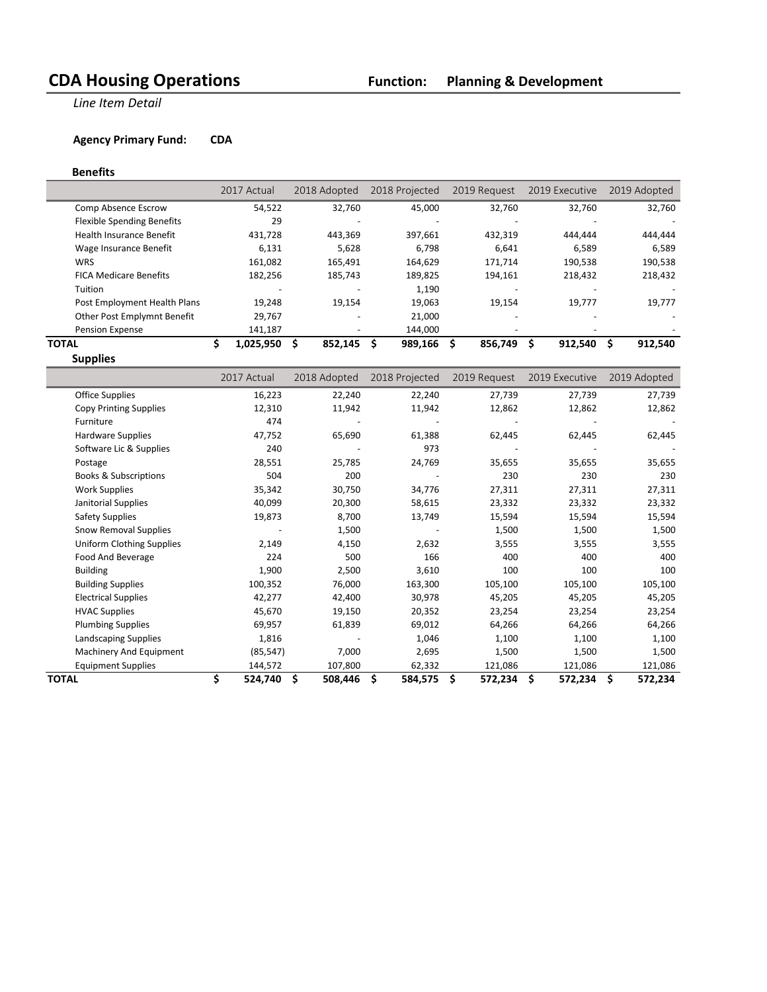**Line Item Detail** 

### **Agency Primary Fund: CDA**

#### **Benefits**

|                                   | 2017 Actual | 2018 Adopted | 2018 Projected | 2019 Request | 2019 Executive | 2019 Adopted |
|-----------------------------------|-------------|--------------|----------------|--------------|----------------|--------------|
| Comp Absence Escrow               | 54,522      | 32.760       | 45.000         | 32,760       | 32.760         | 32,760       |
| <b>Flexible Spending Benefits</b> | 29          |              |                |              |                |              |
| <b>Health Insurance Benefit</b>   | 431.728     | 443.369      | 397.661        | 432,319      | 444.444        | 444.444      |
| Wage Insurance Benefit            | 6,131       | 5,628        | 6.798          | 6.641        | 6,589          | 6,589        |
| <b>WRS</b>                        | 161.082     | 165.491      | 164.629        | 171.714      | 190.538        | 190,538      |
| <b>FICA Medicare Benefits</b>     | 182,256     | 185,743      | 189,825        | 194.161      | 218,432        | 218,432      |
| Tuition                           |             |              | 1,190          |              |                |              |
| Post Employment Health Plans      | 19.248      | 19.154       | 19,063         | 19.154       | 19.777         | 19,777       |
| Other Post Emplymnt Benefit       | 29,767      |              | 21.000         | $\sim$       |                |              |
| Pension Expense                   | 141,187     |              | 144.000        |              |                |              |
| TOTAL                             | 1,025,950   | 852.145      | 989,166<br>S   | 856,749      | 912,540        | 912,540<br>S |

**Supplies**

|                                  | 2017 Actual   | 2018 Adopted  | 2018 Projected | 2019 Request  | 2019 Executive | 2019 Adopted   |
|----------------------------------|---------------|---------------|----------------|---------------|----------------|----------------|
| Office Supplies                  | 16,223        | 22,240        | 22,240         | 27,739        | 27,739         | 27,739         |
| Copy Printing Supplies           | 12,310        | 11,942        | 11,942         | 12,862        | 12,862         | 12,862         |
| Furniture                        | 474           |               |                |               |                |                |
| Hardware Supplies                | 47,752        | 65,690        | 61,388         | 62,445        | 62,445         | 62,445         |
| Software Lic & Supplies          | 240           |               | 973            |               |                |                |
| Postage                          | 28,551        | 25,785        | 24,769         | 35,655        | 35,655         | 35,655         |
| <b>Books &amp; Subscriptions</b> | 504           | 200           |                | 230           | 230            | 230            |
| <b>Work Supplies</b>             | 35,342        | 30,750        | 34,776         | 27,311        | 27,311         | 27,311         |
| Janitorial Supplies              | 40,099        | 20,300        | 58,615         | 23,332        | 23,332         | 23,332         |
| <b>Safety Supplies</b>           | 19,873        | 8,700         | 13,749         | 15,594        | 15,594         | 15,594         |
| <b>Snow Removal Supplies</b>     |               | 1,500         |                | 1,500         | 1,500          | 1,500          |
| <b>Uniform Clothing Supplies</b> | 2,149         | 4,150         | 2,632          | 3,555         | 3,555          | 3,555          |
| Food And Beverage                | 224           | 500           | 166            | 400           | 400            | 400            |
| <b>Building</b>                  | 1,900         | 2,500         | 3,610          | 100           | 100            | 100            |
| <b>Building Supplies</b>         | 100,352       | 76,000        | 163,300        | 105,100       | 105,100        | 105,100        |
| <b>Electrical Supplies</b>       | 42,277        | 42,400        | 30,978         | 45,205        | 45,205         | 45,205         |
| <b>HVAC Supplies</b>             | 45,670        | 19,150        | 20,352         | 23,254        | 23,254         | 23,254         |
| <b>Plumbing Supplies</b>         | 69,957        | 61,839        | 69,012         | 64,266        | 64,266         | 64,266         |
| Landscaping Supplies             | 1,816         |               | 1,046          | 1,100         | 1,100          | 1,100          |
| Machinery And Equipment          | (85, 547)     | 7,000         | 2,695          | 1,500         | 1,500          | 1,500          |
| <b>Equipment Supplies</b>        | 144,572       | 107,800       | 62,332         | 121,086       | 121,086        | 121,086        |
| <b>TOTAL</b>                     | \$<br>524,740 | Ŝ.<br>508,446 | \$<br>584,575  | \$<br>572,234 | \$<br>572,234  | \$.<br>572,234 |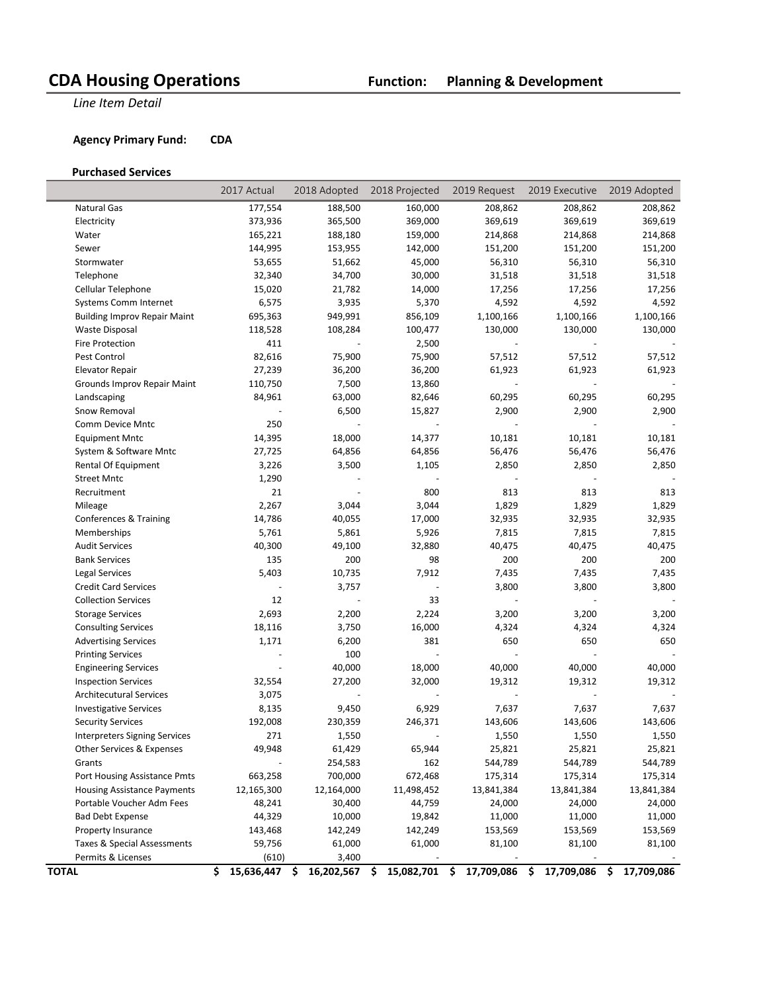**Line Item Detail** 

### **Agency Primary Fund: CDA**

#### **Purchased Services**

|                                      | 2017 Actual      | 2018 Adopted             | 2018 Projected           | 2019 Request      | 2019 Executive      | 2019 Adopted     |
|--------------------------------------|------------------|--------------------------|--------------------------|-------------------|---------------------|------------------|
| Natural Gas                          | 177,554          | 188,500                  | 160,000                  | 208,862           | 208,862             | 208,862          |
| Electricity                          | 373,936          | 365,500                  | 369,000                  | 369,619           | 369,619             | 369,619          |
| Water                                | 165,221          | 188,180                  | 159,000                  | 214,868           | 214,868             | 214,868          |
| Sewer                                | 144,995          | 153,955                  | 142,000                  | 151,200           | 151,200             | 151,200          |
| Stormwater                           | 53,655           | 51,662                   | 45,000                   | 56,310            | 56,310              | 56,310           |
| Telephone                            | 32,340           | 34,700                   | 30,000                   | 31,518            | 31,518              | 31,518           |
| Cellular Telephone                   | 15,020           | 21,782                   | 14,000                   | 17,256            | 17,256              | 17,256           |
| Systems Comm Internet                | 6,575            | 3,935                    | 5,370                    | 4,592             | 4,592               | 4,592            |
| <b>Building Improv Repair Maint</b>  | 695,363          | 949,991                  | 856,109                  | 1,100,166         | 1,100,166           | 1,100,166        |
| Waste Disposal                       | 118,528          | 108,284                  | 100,477                  | 130,000           | 130,000             | 130,000          |
| Fire Protection                      | 411              |                          | 2,500                    |                   |                     |                  |
| Pest Control                         | 82,616           | 75,900                   | 75,900                   | 57,512            | 57,512              | 57,512           |
| <b>Elevator Repair</b>               | 27,239           | 36,200                   | 36,200                   | 61,923            | 61,923              | 61,923           |
| Grounds Improv Repair Maint          | 110,750          | 7,500                    | 13,860                   | $\blacksquare$    |                     |                  |
| Landscaping                          | 84,961           | 63,000                   | 82,646                   | 60,295            | 60,295              | 60,295           |
| Snow Removal                         |                  | 6,500                    | 15,827                   | 2,900             | 2,900               | 2,900            |
| Comm Device Mntc                     | 250              | ÷,                       | $\overline{\phantom{a}}$ | $\Box$            | $\sim$              |                  |
| <b>Equipment Mntc</b>                | 14,395           | 18,000                   | 14,377                   | 10,181            | 10,181              | 10,181           |
| System & Software Mntc               | 27,725           | 64,856                   | 64,856                   | 56,476            | 56,476              | 56,476           |
| Rental Of Equipment                  | 3,226            | 3,500                    | 1,105                    | 2,850             | 2,850               | 2,850            |
| <b>Street Mntc</b>                   | 1,290            |                          |                          |                   |                     |                  |
| Recruitment                          | 21               |                          | 800                      | 813               | 813                 | 813              |
| Mileage                              | 2,267            | 3,044                    | 3,044                    | 1,829             | 1,829               | 1,829            |
| Conferences & Training               | 14,786           | 40,055                   | 17,000                   | 32,935            | 32,935              | 32,935           |
| Memberships                          | 5,761            | 5,861                    | 5,926                    | 7,815             | 7,815               | 7,815            |
| <b>Audit Services</b>                | 40,300           | 49,100                   | 32,880                   | 40,475            | 40,475              | 40,475           |
| <b>Bank Services</b>                 | 135              | 200                      | 98                       | 200               | 200                 | 200              |
| <b>Legal Services</b>                | 5,403            | 10,735                   | 7,912                    | 7,435             | 7,435               | 7,435            |
| <b>Credit Card Services</b>          |                  | 3,757                    |                          | 3,800             | 3,800               | 3,800            |
| <b>Collection Services</b>           | 12               |                          | 33                       |                   |                     |                  |
| <b>Storage Services</b>              | 2,693            | 2,200                    | 2,224                    | 3,200             | 3,200               | 3,200            |
| <b>Consulting Services</b>           | 18,116           | 3,750                    | 16,000                   | 4,324             | 4,324               | 4,324            |
| <b>Advertising Services</b>          | 1,171            | 6,200                    | 381                      | 650               | 650                 | 650              |
| <b>Printing Services</b>             |                  | 100                      |                          |                   |                     |                  |
| <b>Engineering Services</b>          |                  | 40,000                   | 18,000                   | 40,000            | 40,000              | 40,000           |
| <b>Inspection Services</b>           | 32,554           | 27,200                   | 32,000                   | 19,312            | 19,312              | 19,312           |
| <b>Architecutural Services</b>       | 3,075            | $\overline{\phantom{a}}$ |                          | $\Box$            | $\bar{\phantom{a}}$ |                  |
| <b>Investigative Services</b>        | 8,135            | 9,450                    | 6,929                    | 7,637             | 7,637               | 7,637            |
| <b>Security Services</b>             | 192,008          | 230,359                  | 246,371                  | 143,606           | 143,606             | 143,606          |
| <b>Interpreters Signing Services</b> | 271              | 1,550                    |                          | 1,550             | 1,550               | 1,550            |
| Other Services & Expenses            | 49,948           | 61,429                   | 65,944                   | 25,821            | 25,821              | 25,821           |
| Grants                               |                  | 254,583                  | 162                      | 544,789           | 544,789             | 544,789          |
| Port Housing Assistance Pmts         | 663,258          | 700,000                  | 672,468                  | 175,314           | 175,314             | 175,314          |
| <b>Housing Assistance Payments</b>   | 12,165,300       | 12,164,000               | 11,498,452               | 13,841,384        | 13,841,384          | 13,841,384       |
| Portable Voucher Adm Fees            | 48,241           | 30,400                   | 44,759                   | 24,000            | 24,000              | 24,000           |
| <b>Bad Debt Expense</b>              | 44,329           | 10,000                   | 19,842                   | 11,000            | 11,000              | 11,000           |
| Property Insurance                   | 143,468          | 142,249                  | 142,249                  | 153,569           | 153,569             | 153,569          |
| Taxes & Special Assessments          | 59,756           | 61,000                   | 61,000                   | 81,100            | 81,100              | 81,100           |
| Permits & Licenses                   | (610)            | 3,400                    |                          |                   |                     |                  |
| <b>TOTAL</b>                         | \$<br>15,636,447 | 16,202,567<br>\$         | \$<br>15,082,701         | 17,709,086<br>\$. | \$<br>17,709,086    | \$<br>17,709,086 |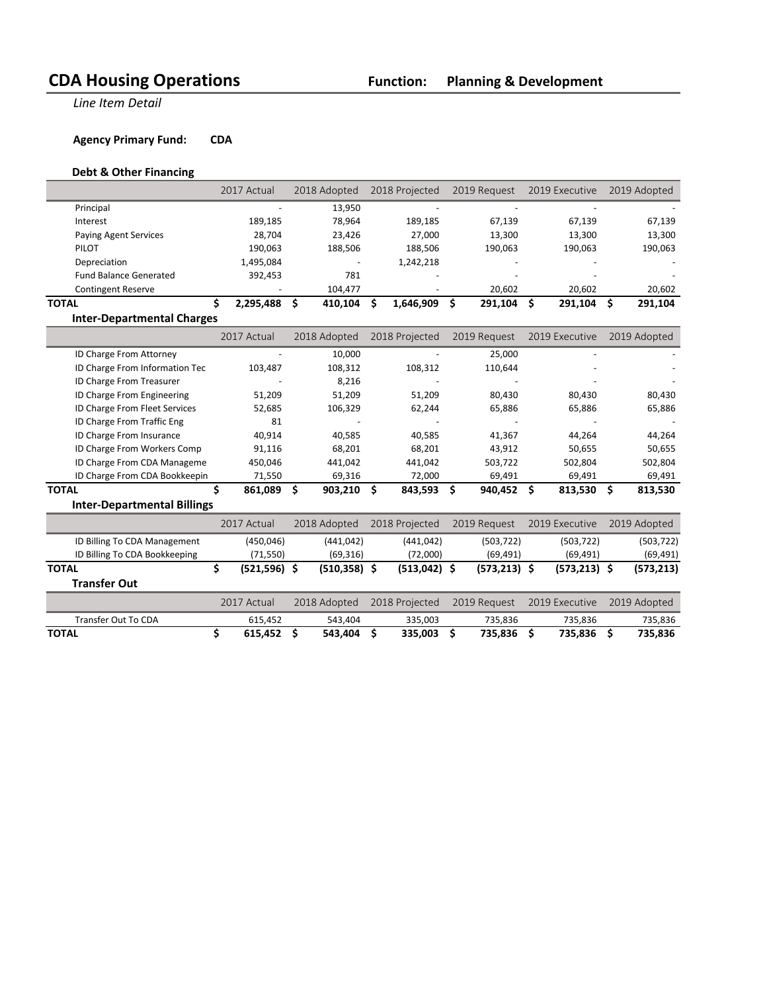**Line Item Detail** 

**Agency Primary Fund: CDA** 

### **Debt & Other Financing**

|                                    | 2017 Actual          | 2018 Adopted       | 2018 Projected  | 2019 Request    | 2019 Executive  | 2019 Adopted   |
|------------------------------------|----------------------|--------------------|-----------------|-----------------|-----------------|----------------|
| Principal                          |                      | 13,950             |                 |                 |                 |                |
| Interest                           | 189,185              | 78,964             | 189,185         | 67,139          | 67,139          | 67,139         |
| Paying Agent Services              | 28,704               | 23,426             | 27,000          | 13,300          | 13,300          | 13,300         |
| PILOT                              | 190,063              | 188,506            | 188,506         | 190,063         | 190,063         | 190,063        |
| Depreciation                       | 1,495,084            |                    | 1,242,218       |                 |                 |                |
| <b>Fund Balance Generated</b>      | 392,453              | 781                |                 |                 |                 |                |
| <b>Contingent Reserve</b>          |                      | 104,477            |                 | 20,602          | 20,602          | 20,602         |
| <b>TOTAL</b>                       | \$<br>2,295,488      | \$<br>410,104      | 1,646,909<br>Ŝ. | \$<br>291,104   | \$<br>291,104   | \$<br>291,104  |
| <b>Inter-Departmental Charges</b>  |                      |                    |                 |                 |                 |                |
|                                    | 2017 Actual          | 2018 Adopted       | 2018 Projected  | 2019 Request    | 2019 Executive  | 2019 Adopted   |
| ID Charge From Attorney            |                      | 10,000             |                 | 25,000          |                 |                |
| ID Charge From Information Tec     | 103,487              | 108,312            | 108,312         | 110,644         |                 |                |
| ID Charge From Treasurer           |                      | 8,216              |                 |                 |                 |                |
| ID Charge From Engineering         | 51,209               | 51,209             | 51,209          | 80,430          | 80,430          | 80,430         |
| ID Charge From Fleet Services      | 52,685               | 106,329            | 62,244          | 65,886          | 65,886          | 65,886         |
| ID Charge From Traffic Eng         | 81                   |                    |                 |                 |                 |                |
| ID Charge From Insurance           | 40,914               | 40,585             | 40,585          | 41,367          | 44,264          | 44,264         |
| ID Charge From Workers Comp        | 91,116               | 68,201             | 68,201          | 43,912          | 50,655          | 50,655         |
| ID Charge From CDA Manageme        | 450,046              | 441,042            | 441,042         | 503,722         | 502,804         | 502,804        |
| ID Charge From CDA Bookkeepin      | 71,550               | 69,316             | 72,000          | 69,491          | 69,491          | 69,491         |
| <b>TOTAL</b>                       | \$<br>861,089        | \$<br>$903,210$ \$ | 843,593         | - \$<br>940,452 | \$<br>813,530   | \$.<br>813,530 |
| <b>Inter-Departmental Billings</b> |                      |                    |                 |                 |                 |                |
|                                    | 2017 Actual          | 2018 Adopted       | 2018 Projected  | 2019 Request    | 2019 Executive  | 2019 Adopted   |
| ID Billing To CDA Management       | (450, 046)           | (441, 042)         | (441, 042)      | (503, 722)      | (503, 722)      | (503, 722)     |
| ID Billing To CDA Bookkeeping      | (71, 550)            | (69, 316)          | (72,000)        | (69, 491)       | (69, 491)       | (69, 491)      |
| <b>TOTAL</b>                       | \$<br>$(521,596)$ \$ | $(510, 358)$ \$    | $(513,042)$ \$  | $(573, 213)$ \$ | $(573, 213)$ \$ | (573, 213)     |
| <b>Transfer Out</b>                |                      |                    |                 |                 |                 |                |
|                                    | 2017 Actual          | 2018 Adopted       | 2018 Projected  | 2019 Request    | 2019 Executive  | 2019 Adopted   |
| Transfer Out To CDA                | 615,452              | 543,404            | 335,003         | 735,836         | 735,836         | 735,836        |
| <b>TOTAL</b>                       | \$<br>615,452        | \$<br>543,404      | Ŝ.<br>335,003   | \$.<br>735,836  | \$<br>735,836   | \$<br>735,836  |